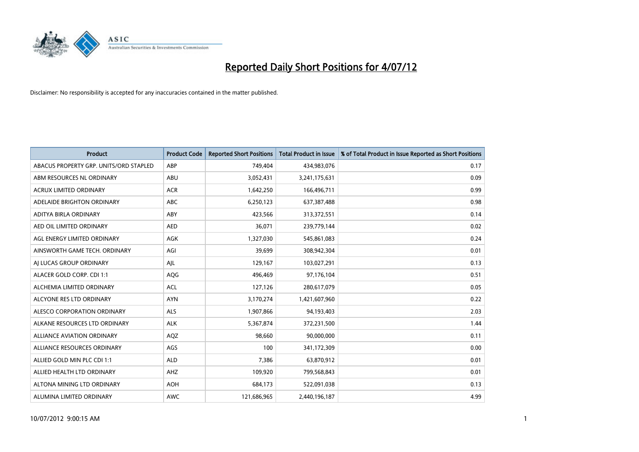

| <b>Product</b>                         | <b>Product Code</b> | <b>Reported Short Positions</b> | <b>Total Product in Issue</b> | % of Total Product in Issue Reported as Short Positions |
|----------------------------------------|---------------------|---------------------------------|-------------------------------|---------------------------------------------------------|
| ABACUS PROPERTY GRP. UNITS/ORD STAPLED | ABP                 | 749,404                         | 434,983,076                   | 0.17                                                    |
| ABM RESOURCES NL ORDINARY              | ABU                 | 3,052,431                       | 3,241,175,631                 | 0.09                                                    |
| <b>ACRUX LIMITED ORDINARY</b>          | <b>ACR</b>          | 1,642,250                       | 166,496,711                   | 0.99                                                    |
| ADELAIDE BRIGHTON ORDINARY             | <b>ABC</b>          | 6,250,123                       | 637,387,488                   | 0.98                                                    |
| <b>ADITYA BIRLA ORDINARY</b>           | ABY                 | 423,566                         | 313,372,551                   | 0.14                                                    |
| AED OIL LIMITED ORDINARY               | <b>AED</b>          | 36,071                          | 239,779,144                   | 0.02                                                    |
| AGL ENERGY LIMITED ORDINARY            | AGK                 | 1,327,030                       | 545,861,083                   | 0.24                                                    |
| AINSWORTH GAME TECH. ORDINARY          | AGI                 | 39,699                          | 308,942,304                   | 0.01                                                    |
| AI LUCAS GROUP ORDINARY                | AJL                 | 129,167                         | 103,027,291                   | 0.13                                                    |
| ALACER GOLD CORP. CDI 1:1              | AQG                 | 496,469                         | 97,176,104                    | 0.51                                                    |
| ALCHEMIA LIMITED ORDINARY              | <b>ACL</b>          | 127,126                         | 280,617,079                   | 0.05                                                    |
| ALCYONE RES LTD ORDINARY               | <b>AYN</b>          | 3,170,274                       | 1,421,607,960                 | 0.22                                                    |
| ALESCO CORPORATION ORDINARY            | ALS                 | 1,907,866                       | 94,193,403                    | 2.03                                                    |
| ALKANE RESOURCES LTD ORDINARY          | <b>ALK</b>          | 5,367,874                       | 372,231,500                   | 1.44                                                    |
| <b>ALLIANCE AVIATION ORDINARY</b>      | AQZ                 | 98,660                          | 90,000,000                    | 0.11                                                    |
| ALLIANCE RESOURCES ORDINARY            | AGS                 | 100                             | 341,172,309                   | 0.00                                                    |
| ALLIED GOLD MIN PLC CDI 1:1            | <b>ALD</b>          | 7,386                           | 63,870,912                    | 0.01                                                    |
| ALLIED HEALTH LTD ORDINARY             | AHZ                 | 109,920                         | 799,568,843                   | 0.01                                                    |
| ALTONA MINING LTD ORDINARY             | <b>AOH</b>          | 684,173                         | 522,091,038                   | 0.13                                                    |
| ALUMINA LIMITED ORDINARY               | <b>AWC</b>          | 121,686,965                     | 2,440,196,187                 | 4.99                                                    |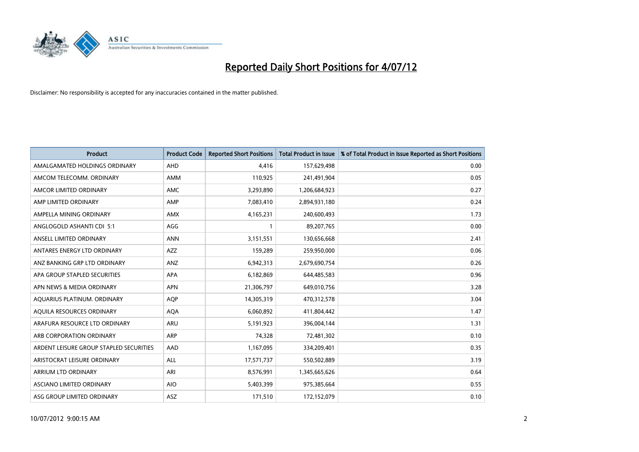

| <b>Product</b>                          | <b>Product Code</b> | <b>Reported Short Positions</b> | <b>Total Product in Issue</b> | % of Total Product in Issue Reported as Short Positions |
|-----------------------------------------|---------------------|---------------------------------|-------------------------------|---------------------------------------------------------|
| AMALGAMATED HOLDINGS ORDINARY           | <b>AHD</b>          | 4,416                           | 157,629,498                   | 0.00                                                    |
| AMCOM TELECOMM. ORDINARY                | <b>AMM</b>          | 110,925                         | 241,491,904                   | 0.05                                                    |
| AMCOR LIMITED ORDINARY                  | <b>AMC</b>          | 3,293,890                       | 1,206,684,923                 | 0.27                                                    |
| AMP LIMITED ORDINARY                    | AMP                 | 7,083,410                       | 2,894,931,180                 | 0.24                                                    |
| AMPELLA MINING ORDINARY                 | <b>AMX</b>          | 4,165,231                       | 240,600,493                   | 1.73                                                    |
| ANGLOGOLD ASHANTI CDI 5:1               | AGG                 |                                 | 89,207,765                    | 0.00                                                    |
| ANSELL LIMITED ORDINARY                 | <b>ANN</b>          | 3,151,551                       | 130,656,668                   | 2.41                                                    |
| ANTARES ENERGY LTD ORDINARY             | <b>AZZ</b>          | 159,289                         | 259,950,000                   | 0.06                                                    |
| ANZ BANKING GRP LTD ORDINARY            | ANZ                 | 6,942,313                       | 2,679,690,754                 | 0.26                                                    |
| APA GROUP STAPLED SECURITIES            | <b>APA</b>          | 6,182,869                       | 644,485,583                   | 0.96                                                    |
| APN NEWS & MEDIA ORDINARY               | <b>APN</b>          | 21,306,797                      | 649,010,756                   | 3.28                                                    |
| AQUARIUS PLATINUM. ORDINARY             | <b>AOP</b>          | 14,305,319                      | 470,312,578                   | 3.04                                                    |
| AQUILA RESOURCES ORDINARY               | <b>AQA</b>          | 6,060,892                       | 411,804,442                   | 1.47                                                    |
| ARAFURA RESOURCE LTD ORDINARY           | <b>ARU</b>          | 5,191,923                       | 396,004,144                   | 1.31                                                    |
| ARB CORPORATION ORDINARY                | <b>ARP</b>          | 74,328                          | 72,481,302                    | 0.10                                                    |
| ARDENT LEISURE GROUP STAPLED SECURITIES | AAD                 | 1,167,095                       | 334,209,401                   | 0.35                                                    |
| ARISTOCRAT LEISURE ORDINARY             | <b>ALL</b>          | 17,571,737                      | 550,502,889                   | 3.19                                                    |
| ARRIUM LTD ORDINARY                     | ARI                 | 8,576,991                       | 1,345,665,626                 | 0.64                                                    |
| ASCIANO LIMITED ORDINARY                | <b>AIO</b>          | 5,403,399                       | 975,385,664                   | 0.55                                                    |
| ASG GROUP LIMITED ORDINARY              | <b>ASZ</b>          | 171,510                         | 172,152,079                   | 0.10                                                    |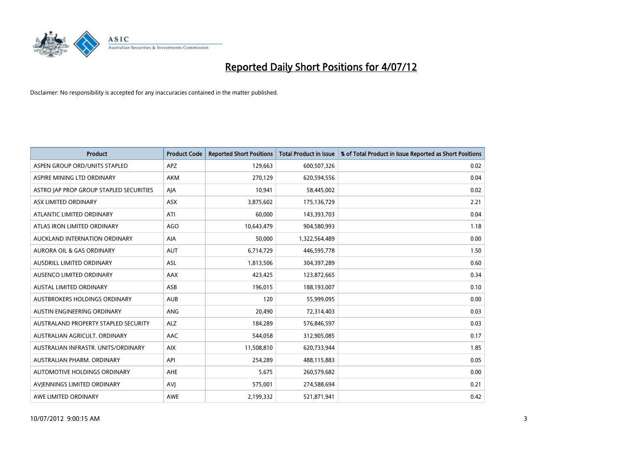

| <b>Product</b>                          | <b>Product Code</b> | <b>Reported Short Positions</b> | <b>Total Product in Issue</b> | % of Total Product in Issue Reported as Short Positions |
|-----------------------------------------|---------------------|---------------------------------|-------------------------------|---------------------------------------------------------|
| ASPEN GROUP ORD/UNITS STAPLED           | APZ                 | 129,663                         | 600,507,326                   | 0.02                                                    |
| ASPIRE MINING LTD ORDINARY              | <b>AKM</b>          | 270.129                         | 620,594,556                   | 0.04                                                    |
| ASTRO JAP PROP GROUP STAPLED SECURITIES | AJA                 | 10,941                          | 58,445,002                    | 0.02                                                    |
| ASX LIMITED ORDINARY                    | <b>ASX</b>          | 3,875,602                       | 175,136,729                   | 2.21                                                    |
| ATLANTIC LIMITED ORDINARY               | ATI                 | 60.000                          | 143,393,703                   | 0.04                                                    |
| ATLAS IRON LIMITED ORDINARY             | <b>AGO</b>          | 10,643,479                      | 904,580,993                   | 1.18                                                    |
| AUCKLAND INTERNATION ORDINARY           | <b>AIA</b>          | 50.000                          | 1,322,564,489                 | 0.00                                                    |
| <b>AURORA OIL &amp; GAS ORDINARY</b>    | <b>AUT</b>          | 6,714,729                       | 446,595,778                   | 1.50                                                    |
| AUSDRILL LIMITED ORDINARY               | ASL                 | 1,813,506                       | 304,397,289                   | 0.60                                                    |
| AUSENCO LIMITED ORDINARY                | <b>AAX</b>          | 423,425                         | 123,872,665                   | 0.34                                                    |
| <b>AUSTAL LIMITED ORDINARY</b>          | ASB                 | 196,015                         | 188,193,007                   | 0.10                                                    |
| AUSTBROKERS HOLDINGS ORDINARY           | <b>AUB</b>          | 120                             | 55,999,095                    | 0.00                                                    |
| <b>AUSTIN ENGINEERING ORDINARY</b>      | <b>ANG</b>          | 20.490                          | 72,314,403                    | 0.03                                                    |
| AUSTRALAND PROPERTY STAPLED SECURITY    | <b>ALZ</b>          | 184.289                         | 576,846,597                   | 0.03                                                    |
| AUSTRALIAN AGRICULT, ORDINARY           | AAC                 | 544,058                         | 312,905,085                   | 0.17                                                    |
| AUSTRALIAN INFRASTR, UNITS/ORDINARY     | <b>AIX</b>          | 11,508,810                      | 620,733,944                   | 1.85                                                    |
| AUSTRALIAN PHARM, ORDINARY              | API                 | 254,289                         | 488,115,883                   | 0.05                                                    |
| AUTOMOTIVE HOLDINGS ORDINARY            | <b>AHE</b>          | 5,675                           | 260,579,682                   | 0.00                                                    |
| AVIENNINGS LIMITED ORDINARY             | AVI                 | 575,001                         | 274,588,694                   | 0.21                                                    |
| AWE LIMITED ORDINARY                    | <b>AWE</b>          | 2,199,332                       | 521,871,941                   | 0.42                                                    |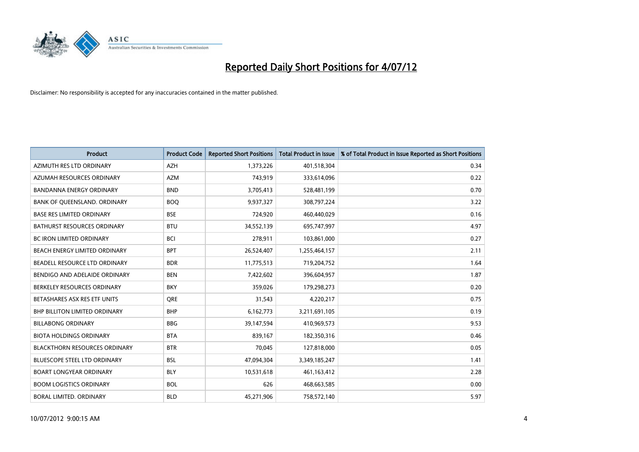

| <b>Product</b>                       | <b>Product Code</b> | <b>Reported Short Positions</b> | <b>Total Product in Issue</b> | % of Total Product in Issue Reported as Short Positions |
|--------------------------------------|---------------------|---------------------------------|-------------------------------|---------------------------------------------------------|
| AZIMUTH RES LTD ORDINARY             | <b>AZH</b>          | 1,373,226                       | 401,518,304                   | 0.34                                                    |
| AZUMAH RESOURCES ORDINARY            | <b>AZM</b>          | 743,919                         | 333,614,096                   | 0.22                                                    |
| <b>BANDANNA ENERGY ORDINARY</b>      | <b>BND</b>          | 3,705,413                       | 528,481,199                   | 0.70                                                    |
| BANK OF QUEENSLAND. ORDINARY         | <b>BOQ</b>          | 9,937,327                       | 308,797,224                   | 3.22                                                    |
| <b>BASE RES LIMITED ORDINARY</b>     | <b>BSE</b>          | 724,920                         | 460,440,029                   | 0.16                                                    |
| <b>BATHURST RESOURCES ORDINARY</b>   | <b>BTU</b>          | 34,552,139                      | 695,747,997                   | 4.97                                                    |
| <b>BC IRON LIMITED ORDINARY</b>      | <b>BCI</b>          | 278,911                         | 103,861,000                   | 0.27                                                    |
| BEACH ENERGY LIMITED ORDINARY        | <b>BPT</b>          | 26,524,407                      | 1,255,464,157                 | 2.11                                                    |
| BEADELL RESOURCE LTD ORDINARY        | <b>BDR</b>          | 11,775,513                      | 719,204,752                   | 1.64                                                    |
| BENDIGO AND ADELAIDE ORDINARY        | <b>BEN</b>          | 7,422,602                       | 396,604,957                   | 1.87                                                    |
| BERKELEY RESOURCES ORDINARY          | <b>BKY</b>          | 359,026                         | 179,298,273                   | 0.20                                                    |
| BETASHARES ASX RES ETF UNITS         | <b>ORE</b>          | 31,543                          | 4,220,217                     | 0.75                                                    |
| <b>BHP BILLITON LIMITED ORDINARY</b> | <b>BHP</b>          | 6,162,773                       | 3,211,691,105                 | 0.19                                                    |
| <b>BILLABONG ORDINARY</b>            | <b>BBG</b>          | 39,147,594                      | 410,969,573                   | 9.53                                                    |
| <b>BIOTA HOLDINGS ORDINARY</b>       | <b>BTA</b>          | 839,167                         | 182,350,316                   | 0.46                                                    |
| <b>BLACKTHORN RESOURCES ORDINARY</b> | <b>BTR</b>          | 70,045                          | 127,818,000                   | 0.05                                                    |
| <b>BLUESCOPE STEEL LTD ORDINARY</b>  | <b>BSL</b>          | 47,094,304                      | 3,349,185,247                 | 1.41                                                    |
| <b>BOART LONGYEAR ORDINARY</b>       | <b>BLY</b>          | 10,531,618                      | 461,163,412                   | 2.28                                                    |
| <b>BOOM LOGISTICS ORDINARY</b>       | <b>BOL</b>          | 626                             | 468,663,585                   | 0.00                                                    |
| BORAL LIMITED, ORDINARY              | <b>BLD</b>          | 45,271,906                      | 758,572,140                   | 5.97                                                    |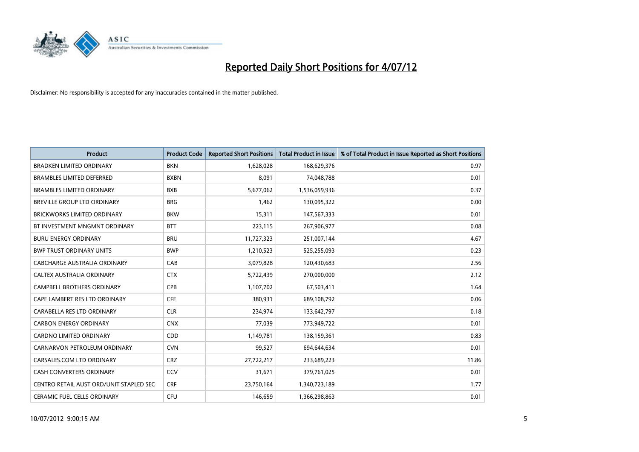

| <b>Product</b>                          | <b>Product Code</b> | <b>Reported Short Positions</b> | <b>Total Product in Issue</b> | % of Total Product in Issue Reported as Short Positions |
|-----------------------------------------|---------------------|---------------------------------|-------------------------------|---------------------------------------------------------|
| <b>BRADKEN LIMITED ORDINARY</b>         | <b>BKN</b>          | 1,628,028                       | 168,629,376                   | 0.97                                                    |
| <b>BRAMBLES LIMITED DEFERRED</b>        | <b>BXBN</b>         | 8,091                           | 74,048,788                    | 0.01                                                    |
| <b>BRAMBLES LIMITED ORDINARY</b>        | <b>BXB</b>          | 5,677,062                       | 1,536,059,936                 | 0.37                                                    |
| BREVILLE GROUP LTD ORDINARY             | <b>BRG</b>          | 1,462                           | 130,095,322                   | 0.00                                                    |
| <b>BRICKWORKS LIMITED ORDINARY</b>      | <b>BKW</b>          | 15,311                          | 147,567,333                   | 0.01                                                    |
| BT INVESTMENT MNGMNT ORDINARY           | <b>BTT</b>          | 223,115                         | 267,906,977                   | 0.08                                                    |
| <b>BURU ENERGY ORDINARY</b>             | <b>BRU</b>          | 11,727,323                      | 251,007,144                   | 4.67                                                    |
| <b>BWP TRUST ORDINARY UNITS</b>         | <b>BWP</b>          | 1,210,523                       | 525,255,093                   | 0.23                                                    |
| CABCHARGE AUSTRALIA ORDINARY            | CAB                 | 3,079,828                       | 120,430,683                   | 2.56                                                    |
| CALTEX AUSTRALIA ORDINARY               | <b>CTX</b>          | 5,722,439                       | 270,000,000                   | 2.12                                                    |
| CAMPBELL BROTHERS ORDINARY              | <b>CPB</b>          | 1,107,702                       | 67,503,411                    | 1.64                                                    |
| CAPE LAMBERT RES LTD ORDINARY           | <b>CFE</b>          | 380,931                         | 689,108,792                   | 0.06                                                    |
| CARABELLA RES LTD ORDINARY              | <b>CLR</b>          | 234,974                         | 133,642,797                   | 0.18                                                    |
| <b>CARBON ENERGY ORDINARY</b>           | <b>CNX</b>          | 77,039                          | 773,949,722                   | 0.01                                                    |
| <b>CARDNO LIMITED ORDINARY</b>          | <b>CDD</b>          | 1,149,781                       | 138,159,361                   | 0.83                                                    |
| CARNARVON PETROLEUM ORDINARY            | <b>CVN</b>          | 99,527                          | 694,644,634                   | 0.01                                                    |
| CARSALES.COM LTD ORDINARY               | <b>CRZ</b>          | 27,722,217                      | 233,689,223                   | 11.86                                                   |
| CASH CONVERTERS ORDINARY                | CCV                 | 31,671                          | 379,761,025                   | 0.01                                                    |
| CENTRO RETAIL AUST ORD/UNIT STAPLED SEC | <b>CRF</b>          | 23,750,164                      | 1,340,723,189                 | 1.77                                                    |
| CERAMIC FUEL CELLS ORDINARY             | CFU                 | 146,659                         | 1,366,298,863                 | 0.01                                                    |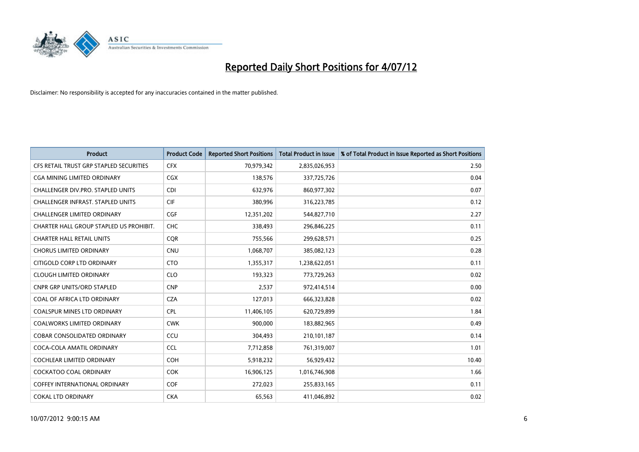

| <b>Product</b>                          | <b>Product Code</b> | <b>Reported Short Positions</b> | <b>Total Product in Issue</b> | % of Total Product in Issue Reported as Short Positions |
|-----------------------------------------|---------------------|---------------------------------|-------------------------------|---------------------------------------------------------|
| CFS RETAIL TRUST GRP STAPLED SECURITIES | <b>CFX</b>          | 70,979,342                      | 2,835,026,953                 | 2.50                                                    |
| CGA MINING LIMITED ORDINARY             | <b>CGX</b>          | 138,576                         | 337,725,726                   | 0.04                                                    |
| CHALLENGER DIV.PRO. STAPLED UNITS       | <b>CDI</b>          | 632,976                         | 860,977,302                   | 0.07                                                    |
| CHALLENGER INFRAST. STAPLED UNITS       | <b>CIF</b>          | 380,996                         | 316,223,785                   | 0.12                                                    |
| <b>CHALLENGER LIMITED ORDINARY</b>      | <b>CGF</b>          | 12,351,202                      | 544,827,710                   | 2.27                                                    |
| CHARTER HALL GROUP STAPLED US PROHIBIT. | <b>CHC</b>          | 338,493                         | 296,846,225                   | 0.11                                                    |
| <b>CHARTER HALL RETAIL UNITS</b>        | <b>COR</b>          | 755,566                         | 299,628,571                   | 0.25                                                    |
| <b>CHORUS LIMITED ORDINARY</b>          | <b>CNU</b>          | 1,068,707                       | 385,082,123                   | 0.28                                                    |
| CITIGOLD CORP LTD ORDINARY              | <b>CTO</b>          | 1,355,317                       | 1,238,622,051                 | 0.11                                                    |
| <b>CLOUGH LIMITED ORDINARY</b>          | <b>CLO</b>          | 193,323                         | 773,729,263                   | 0.02                                                    |
| <b>CNPR GRP UNITS/ORD STAPLED</b>       | <b>CNP</b>          | 2,537                           | 972,414,514                   | 0.00                                                    |
| <b>COAL OF AFRICA LTD ORDINARY</b>      | <b>CZA</b>          | 127,013                         | 666,323,828                   | 0.02                                                    |
| COALSPUR MINES LTD ORDINARY             | <b>CPL</b>          | 11,406,105                      | 620,729,899                   | 1.84                                                    |
| <b>COALWORKS LIMITED ORDINARY</b>       | <b>CWK</b>          | 900,000                         | 183,882,965                   | 0.49                                                    |
| <b>COBAR CONSOLIDATED ORDINARY</b>      | CCU                 | 304,493                         | 210,101,187                   | 0.14                                                    |
| COCA-COLA AMATIL ORDINARY               | <b>CCL</b>          | 7,712,858                       | 761,319,007                   | 1.01                                                    |
| COCHLEAR LIMITED ORDINARY               | <b>COH</b>          | 5,918,232                       | 56,929,432                    | 10.40                                                   |
| COCKATOO COAL ORDINARY                  | <b>COK</b>          | 16,906,125                      | 1,016,746,908                 | 1.66                                                    |
| <b>COFFEY INTERNATIONAL ORDINARY</b>    | <b>COF</b>          | 272,023                         | 255,833,165                   | 0.11                                                    |
| <b>COKAL LTD ORDINARY</b>               | <b>CKA</b>          | 65,563                          | 411,046,892                   | 0.02                                                    |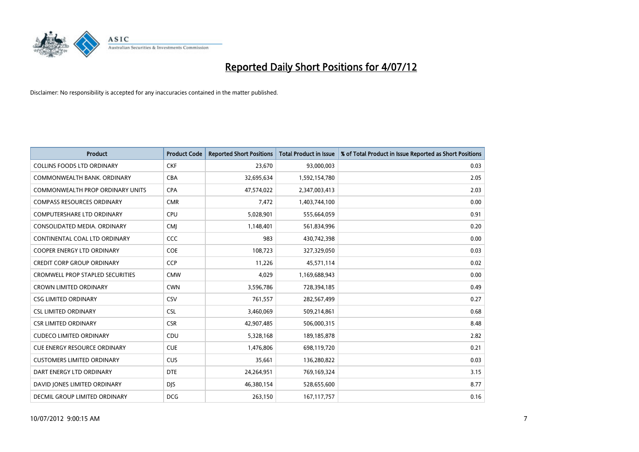

| <b>Product</b>                          | <b>Product Code</b> | <b>Reported Short Positions</b> | <b>Total Product in Issue</b> | % of Total Product in Issue Reported as Short Positions |
|-----------------------------------------|---------------------|---------------------------------|-------------------------------|---------------------------------------------------------|
| <b>COLLINS FOODS LTD ORDINARY</b>       | <b>CKF</b>          | 23,670                          | 93,000,003                    | 0.03                                                    |
| COMMONWEALTH BANK, ORDINARY             | <b>CBA</b>          | 32,695,634                      | 1,592,154,780                 | 2.05                                                    |
| COMMONWEALTH PROP ORDINARY UNITS        | <b>CPA</b>          | 47,574,022                      | 2,347,003,413                 | 2.03                                                    |
| <b>COMPASS RESOURCES ORDINARY</b>       | <b>CMR</b>          | 7,472                           | 1,403,744,100                 | 0.00                                                    |
| <b>COMPUTERSHARE LTD ORDINARY</b>       | <b>CPU</b>          | 5,028,901                       | 555,664,059                   | 0.91                                                    |
| CONSOLIDATED MEDIA, ORDINARY            | <b>CMI</b>          | 1,148,401                       | 561,834,996                   | 0.20                                                    |
| CONTINENTAL COAL LTD ORDINARY           | CCC                 | 983                             | 430,742,398                   | 0.00                                                    |
| <b>COOPER ENERGY LTD ORDINARY</b>       | <b>COE</b>          | 108,723                         | 327,329,050                   | 0.03                                                    |
| <b>CREDIT CORP GROUP ORDINARY</b>       | <b>CCP</b>          | 11,226                          | 45,571,114                    | 0.02                                                    |
| <b>CROMWELL PROP STAPLED SECURITIES</b> | <b>CMW</b>          | 4,029                           | 1,169,688,943                 | 0.00                                                    |
| <b>CROWN LIMITED ORDINARY</b>           | <b>CWN</b>          | 3,596,786                       | 728,394,185                   | 0.49                                                    |
| <b>CSG LIMITED ORDINARY</b>             | CSV                 | 761,557                         | 282,567,499                   | 0.27                                                    |
| <b>CSL LIMITED ORDINARY</b>             | <b>CSL</b>          | 3,460,069                       | 509,214,861                   | 0.68                                                    |
| <b>CSR LIMITED ORDINARY</b>             | <b>CSR</b>          | 42,907,485                      | 506,000,315                   | 8.48                                                    |
| <b>CUDECO LIMITED ORDINARY</b>          | CDU                 | 5,328,168                       | 189, 185, 878                 | 2.82                                                    |
| <b>CUE ENERGY RESOURCE ORDINARY</b>     | <b>CUE</b>          | 1,476,806                       | 698,119,720                   | 0.21                                                    |
| <b>CUSTOMERS LIMITED ORDINARY</b>       | CUS                 | 35,661                          | 136,280,822                   | 0.03                                                    |
| DART ENERGY LTD ORDINARY                | <b>DTE</b>          | 24,264,951                      | 769,169,324                   | 3.15                                                    |
| DAVID JONES LIMITED ORDINARY            | <b>DJS</b>          | 46,380,154                      | 528,655,600                   | 8.77                                                    |
| DECMIL GROUP LIMITED ORDINARY           | <b>DCG</b>          | 263,150                         | 167, 117, 757                 | 0.16                                                    |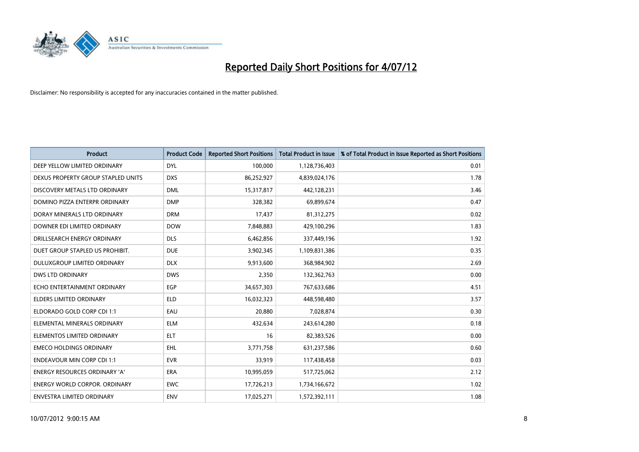

| <b>Product</b>                       | <b>Product Code</b> | <b>Reported Short Positions</b> | <b>Total Product in Issue</b> | % of Total Product in Issue Reported as Short Positions |
|--------------------------------------|---------------------|---------------------------------|-------------------------------|---------------------------------------------------------|
| DEEP YELLOW LIMITED ORDINARY         | <b>DYL</b>          | 100,000                         | 1,128,736,403                 | 0.01                                                    |
| DEXUS PROPERTY GROUP STAPLED UNITS   | <b>DXS</b>          | 86,252,927                      | 4,839,024,176                 | 1.78                                                    |
| DISCOVERY METALS LTD ORDINARY        | <b>DML</b>          | 15,317,817                      | 442,128,231                   | 3.46                                                    |
| DOMINO PIZZA ENTERPR ORDINARY        | <b>DMP</b>          | 328,382                         | 69,899,674                    | 0.47                                                    |
| DORAY MINERALS LTD ORDINARY          | <b>DRM</b>          | 17,437                          | 81,312,275                    | 0.02                                                    |
| DOWNER EDI LIMITED ORDINARY          | <b>DOW</b>          | 7,848,883                       | 429,100,296                   | 1.83                                                    |
| DRILLSEARCH ENERGY ORDINARY          | <b>DLS</b>          | 6,462,856                       | 337,449,196                   | 1.92                                                    |
| DUET GROUP STAPLED US PROHIBIT.      | <b>DUE</b>          | 3,902,345                       | 1,109,831,386                 | 0.35                                                    |
| DULUXGROUP LIMITED ORDINARY          | <b>DLX</b>          | 9,913,600                       | 368,984,902                   | 2.69                                                    |
| <b>DWS LTD ORDINARY</b>              | <b>DWS</b>          | 2,350                           | 132,362,763                   | 0.00                                                    |
| ECHO ENTERTAINMENT ORDINARY          | <b>EGP</b>          | 34,657,303                      | 767,633,686                   | 4.51                                                    |
| <b>ELDERS LIMITED ORDINARY</b>       | <b>ELD</b>          | 16,032,323                      | 448,598,480                   | 3.57                                                    |
| ELDORADO GOLD CORP CDI 1:1           | EAU                 | 20,880                          | 7,028,874                     | 0.30                                                    |
| ELEMENTAL MINERALS ORDINARY          | <b>ELM</b>          | 432,634                         | 243,614,280                   | 0.18                                                    |
| ELEMENTOS LIMITED ORDINARY           | <b>ELT</b>          | 16                              | 82,383,526                    | 0.00                                                    |
| <b>EMECO HOLDINGS ORDINARY</b>       | <b>EHL</b>          | 3,771,758                       | 631,237,586                   | 0.60                                                    |
| <b>ENDEAVOUR MIN CORP CDI 1:1</b>    | <b>EVR</b>          | 33,919                          | 117,438,458                   | 0.03                                                    |
| ENERGY RESOURCES ORDINARY 'A'        | <b>ERA</b>          | 10,995,059                      | 517,725,062                   | 2.12                                                    |
| <b>ENERGY WORLD CORPOR, ORDINARY</b> | <b>EWC</b>          | 17,726,213                      | 1,734,166,672                 | 1.02                                                    |
| ENVESTRA LIMITED ORDINARY            | <b>ENV</b>          | 17,025,271                      | 1,572,392,111                 | 1.08                                                    |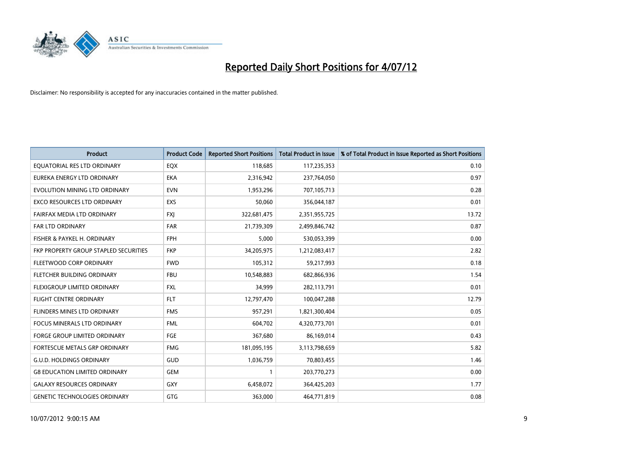

| <b>Product</b>                        | <b>Product Code</b> | <b>Reported Short Positions</b> | <b>Total Product in Issue</b> | % of Total Product in Issue Reported as Short Positions |
|---------------------------------------|---------------------|---------------------------------|-------------------------------|---------------------------------------------------------|
| EQUATORIAL RES LTD ORDINARY           | EQX                 | 118,685                         | 117,235,353                   | 0.10                                                    |
| EUREKA ENERGY LTD ORDINARY            | <b>EKA</b>          | 2,316,942                       | 237,764,050                   | 0.97                                                    |
| EVOLUTION MINING LTD ORDINARY         | <b>EVN</b>          | 1,953,296                       | 707,105,713                   | 0.28                                                    |
| EXCO RESOURCES LTD ORDINARY           | <b>EXS</b>          | 50,060                          | 356,044,187                   | 0.01                                                    |
| FAIRFAX MEDIA LTD ORDINARY            | <b>FXI</b>          | 322,681,475                     | 2,351,955,725                 | 13.72                                                   |
| <b>FAR LTD ORDINARY</b>               | <b>FAR</b>          | 21,739,309                      | 2,499,846,742                 | 0.87                                                    |
| FISHER & PAYKEL H. ORDINARY           | <b>FPH</b>          | 5,000                           | 530,053,399                   | 0.00                                                    |
| FKP PROPERTY GROUP STAPLED SECURITIES | <b>FKP</b>          | 34,205,975                      | 1,212,083,417                 | 2.82                                                    |
| FLEETWOOD CORP ORDINARY               | <b>FWD</b>          | 105,312                         | 59,217,993                    | 0.18                                                    |
| FLETCHER BUILDING ORDINARY            | <b>FBU</b>          | 10,548,883                      | 682,866,936                   | 1.54                                                    |
| FLEXIGROUP LIMITED ORDINARY           | <b>FXL</b>          | 34,999                          | 282,113,791                   | 0.01                                                    |
| <b>FLIGHT CENTRE ORDINARY</b>         | <b>FLT</b>          | 12,797,470                      | 100,047,288                   | 12.79                                                   |
| FLINDERS MINES LTD ORDINARY           | <b>FMS</b>          | 957,291                         | 1,821,300,404                 | 0.05                                                    |
| <b>FOCUS MINERALS LTD ORDINARY</b>    | <b>FML</b>          | 604,702                         | 4,320,773,701                 | 0.01                                                    |
| <b>FORGE GROUP LIMITED ORDINARY</b>   | FGE                 | 367,680                         | 86,169,014                    | 0.43                                                    |
| FORTESCUE METALS GRP ORDINARY         | <b>FMG</b>          | 181,095,195                     | 3,113,798,659                 | 5.82                                                    |
| <b>G.U.D. HOLDINGS ORDINARY</b>       | GUD                 | 1,036,759                       | 70,803,455                    | 1.46                                                    |
| <b>G8 EDUCATION LIMITED ORDINARY</b>  | <b>GEM</b>          |                                 | 203,770,273                   | 0.00                                                    |
| <b>GALAXY RESOURCES ORDINARY</b>      | <b>GXY</b>          | 6,458,072                       | 364,425,203                   | 1.77                                                    |
| <b>GENETIC TECHNOLOGIES ORDINARY</b>  | <b>GTG</b>          | 363,000                         | 464,771,819                   | 0.08                                                    |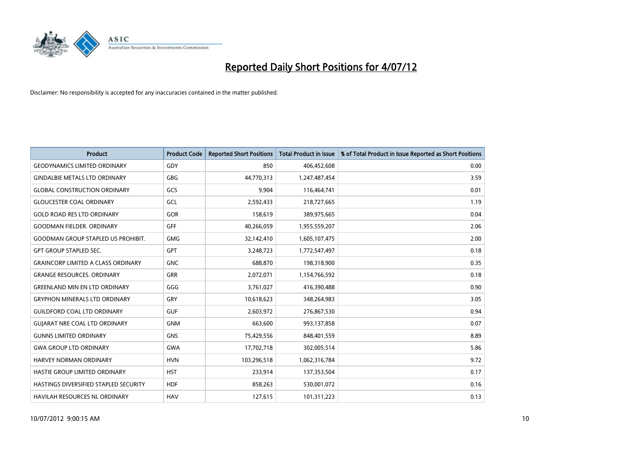

| <b>Product</b>                            | <b>Product Code</b> | <b>Reported Short Positions</b> | <b>Total Product in Issue</b> | % of Total Product in Issue Reported as Short Positions |
|-------------------------------------------|---------------------|---------------------------------|-------------------------------|---------------------------------------------------------|
| <b>GEODYNAMICS LIMITED ORDINARY</b>       | GDY                 | 850                             | 406,452,608                   | 0.00                                                    |
| <b>GINDALBIE METALS LTD ORDINARY</b>      | <b>GBG</b>          | 44,770,313                      | 1,247,487,454                 | 3.59                                                    |
| <b>GLOBAL CONSTRUCTION ORDINARY</b>       | GCS                 | 9,904                           | 116,464,741                   | 0.01                                                    |
| <b>GLOUCESTER COAL ORDINARY</b>           | GCL                 | 2,592,433                       | 218,727,665                   | 1.19                                                    |
| <b>GOLD ROAD RES LTD ORDINARY</b>         | GOR                 | 158,619                         | 389,975,665                   | 0.04                                                    |
| <b>GOODMAN FIELDER, ORDINARY</b>          | GFF                 | 40,266,059                      | 1,955,559,207                 | 2.06                                                    |
| <b>GOODMAN GROUP STAPLED US PROHIBIT.</b> | <b>GMG</b>          | 32,142,410                      | 1,605,107,475                 | 2.00                                                    |
| <b>GPT GROUP STAPLED SEC.</b>             | <b>GPT</b>          | 3,248,723                       | 1,772,547,497                 | 0.18                                                    |
| <b>GRAINCORP LIMITED A CLASS ORDINARY</b> | <b>GNC</b>          | 688,870                         | 198,318,900                   | 0.35                                                    |
| <b>GRANGE RESOURCES, ORDINARY</b>         | <b>GRR</b>          | 2,072,071                       | 1,154,766,592                 | 0.18                                                    |
| <b>GREENLAND MIN EN LTD ORDINARY</b>      | GGG                 | 3,761,027                       | 416,390,488                   | 0.90                                                    |
| <b>GRYPHON MINERALS LTD ORDINARY</b>      | GRY                 | 10,618,623                      | 348,264,983                   | 3.05                                                    |
| <b>GUILDFORD COAL LTD ORDINARY</b>        | <b>GUF</b>          | 2,603,972                       | 276,867,530                   | 0.94                                                    |
| <b>GUIARAT NRE COAL LTD ORDINARY</b>      | <b>GNM</b>          | 663,600                         | 993,137,858                   | 0.07                                                    |
| <b>GUNNS LIMITED ORDINARY</b>             | <b>GNS</b>          | 75,429,556                      | 848,401,559                   | 8.89                                                    |
| <b>GWA GROUP LTD ORDINARY</b>             | <b>GWA</b>          | 17,702,718                      | 302,005,514                   | 5.86                                                    |
| HARVEY NORMAN ORDINARY                    | <b>HVN</b>          | 103,296,518                     | 1,062,316,784                 | 9.72                                                    |
| HASTIE GROUP LIMITED ORDINARY             | <b>HST</b>          | 233,914                         | 137,353,504                   | 0.17                                                    |
| HASTINGS DIVERSIFIED STAPLED SECURITY     | <b>HDF</b>          | 858,263                         | 530,001,072                   | 0.16                                                    |
| HAVILAH RESOURCES NL ORDINARY             | <b>HAV</b>          | 127,615                         | 101,311,223                   | 0.13                                                    |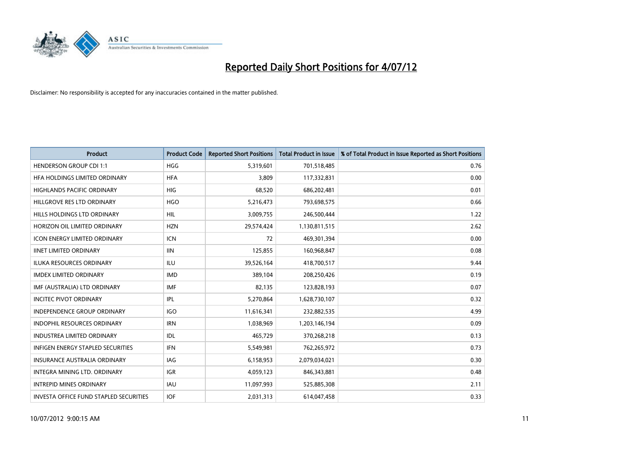

| <b>Product</b>                                | <b>Product Code</b> | <b>Reported Short Positions</b> | <b>Total Product in Issue</b> | % of Total Product in Issue Reported as Short Positions |
|-----------------------------------------------|---------------------|---------------------------------|-------------------------------|---------------------------------------------------------|
| <b>HENDERSON GROUP CDI 1:1</b>                | HGG                 | 5,319,601                       | 701,518,485                   | 0.76                                                    |
| HFA HOLDINGS LIMITED ORDINARY                 | <b>HFA</b>          | 3,809                           | 117,332,831                   | 0.00                                                    |
| <b>HIGHLANDS PACIFIC ORDINARY</b>             | HIG                 | 68,520                          | 686,202,481                   | 0.01                                                    |
| HILLGROVE RES LTD ORDINARY                    | <b>HGO</b>          | 5,216,473                       | 793,698,575                   | 0.66                                                    |
| <b>HILLS HOLDINGS LTD ORDINARY</b>            | <b>HIL</b>          | 3,009,755                       | 246,500,444                   | 1.22                                                    |
| HORIZON OIL LIMITED ORDINARY                  | <b>HZN</b>          | 29,574,424                      | 1,130,811,515                 | 2.62                                                    |
| <b>ICON ENERGY LIMITED ORDINARY</b>           | <b>ICN</b>          | 72                              | 469,301,394                   | 0.00                                                    |
| <b>IINET LIMITED ORDINARY</b>                 | <b>IIN</b>          | 125,855                         | 160,968,847                   | 0.08                                                    |
| ILUKA RESOURCES ORDINARY                      | ILU                 | 39,526,164                      | 418,700,517                   | 9.44                                                    |
| <b>IMDEX LIMITED ORDINARY</b>                 | <b>IMD</b>          | 389,104                         | 208,250,426                   | 0.19                                                    |
| IMF (AUSTRALIA) LTD ORDINARY                  | <b>IMF</b>          | 82,135                          | 123,828,193                   | 0.07                                                    |
| <b>INCITEC PIVOT ORDINARY</b>                 | <b>IPL</b>          | 5,270,864                       | 1,628,730,107                 | 0.32                                                    |
| INDEPENDENCE GROUP ORDINARY                   | <b>IGO</b>          | 11,616,341                      | 232,882,535                   | 4.99                                                    |
| <b>INDOPHIL RESOURCES ORDINARY</b>            | <b>IRN</b>          | 1,038,969                       | 1,203,146,194                 | 0.09                                                    |
| <b>INDUSTREA LIMITED ORDINARY</b>             | IDL                 | 465,729                         | 370,268,218                   | 0.13                                                    |
| INFIGEN ENERGY STAPLED SECURITIES             | <b>IFN</b>          | 5,549,981                       | 762,265,972                   | 0.73                                                    |
| <b>INSURANCE AUSTRALIA ORDINARY</b>           | IAG                 | 6,158,953                       | 2,079,034,021                 | 0.30                                                    |
| INTEGRA MINING LTD. ORDINARY                  | <b>IGR</b>          | 4,059,123                       | 846,343,881                   | 0.48                                                    |
| <b>INTREPID MINES ORDINARY</b>                | <b>IAU</b>          | 11,097,993                      | 525,885,308                   | 2.11                                                    |
| <b>INVESTA OFFICE FUND STAPLED SECURITIES</b> | <b>IOF</b>          | 2,031,313                       | 614,047,458                   | 0.33                                                    |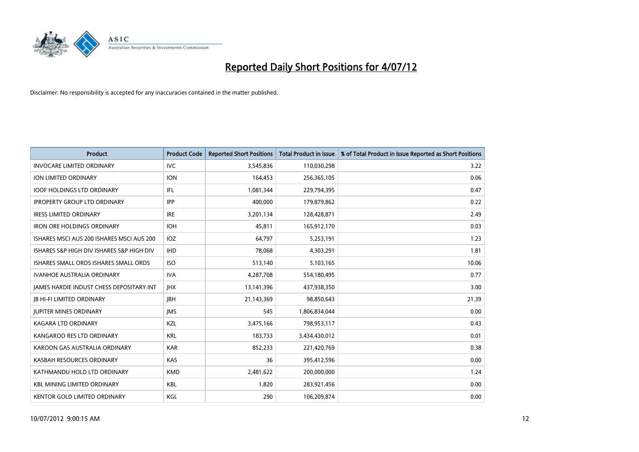

| <b>Product</b>                                  | <b>Product Code</b> | <b>Reported Short Positions</b> | <b>Total Product in Issue</b> | % of Total Product in Issue Reported as Short Positions |
|-------------------------------------------------|---------------------|---------------------------------|-------------------------------|---------------------------------------------------------|
| <b>INVOCARE LIMITED ORDINARY</b>                | <b>IVC</b>          | 3,545,836                       | 110,030,298                   | 3.22                                                    |
| ION LIMITED ORDINARY                            | <b>ION</b>          | 164,453                         | 256,365,105                   | 0.06                                                    |
| <b>IOOF HOLDINGS LTD ORDINARY</b>               | <b>IFL</b>          | 1,081,344                       | 229,794,395                   | 0.47                                                    |
| <b>IPROPERTY GROUP LTD ORDINARY</b>             | <b>IPP</b>          | 400,000                         | 179,879,862                   | 0.22                                                    |
| <b>IRESS LIMITED ORDINARY</b>                   | <b>IRE</b>          | 3,201,134                       | 128,428,871                   | 2.49                                                    |
| <b>IRON ORE HOLDINGS ORDINARY</b>               | <b>IOH</b>          | 45,811                          | 165,912,170                   | 0.03                                                    |
| ISHARES MSCI AUS 200 ISHARES MSCI AUS 200       | <b>IOZ</b>          | 64,797                          | 5,253,191                     | 1.23                                                    |
| ISHARES S&P HIGH DIV ISHARES S&P HIGH DIV       | <b>IHD</b>          | 78,068                          | 4,303,291                     | 1.81                                                    |
| ISHARES SMALL ORDS ISHARES SMALL ORDS           | <b>ISO</b>          | 513,140                         | 5,103,165                     | 10.06                                                   |
| <b>IVANHOE AUSTRALIA ORDINARY</b>               | <b>IVA</b>          | 4,287,708                       | 554,180,495                   | 0.77                                                    |
| <b>JAMES HARDIE INDUST CHESS DEPOSITARY INT</b> | <b>IHX</b>          | 13,141,396                      | 437,938,350                   | 3.00                                                    |
| <b>IB HI-FI LIMITED ORDINARY</b>                | <b>IBH</b>          | 21,143,369                      | 98,850,643                    | 21.39                                                   |
| <b>JUPITER MINES ORDINARY</b>                   | <b>IMS</b>          | 545                             | 1,806,834,044                 | 0.00                                                    |
| <b>KAGARA LTD ORDINARY</b>                      | <b>KZL</b>          | 3,475,166                       | 798,953,117                   | 0.43                                                    |
| KANGAROO RES LTD ORDINARY                       | <b>KRL</b>          | 183,733                         | 3,434,430,012                 | 0.01                                                    |
| KAROON GAS AUSTRALIA ORDINARY                   | <b>KAR</b>          | 852,233                         | 221,420,769                   | 0.38                                                    |
| KASBAH RESOURCES ORDINARY                       | KAS                 | 36                              | 395,412,596                   | 0.00                                                    |
| KATHMANDU HOLD LTD ORDINARY                     | <b>KMD</b>          | 2,481,622                       | 200,000,000                   | 1.24                                                    |
| <b>KBL MINING LIMITED ORDINARY</b>              | <b>KBL</b>          | 1,820                           | 283,921,456                   | 0.00                                                    |
| KENTOR GOLD LIMITED ORDINARY                    | KGL                 | 290                             | 106,209,874                   | 0.00                                                    |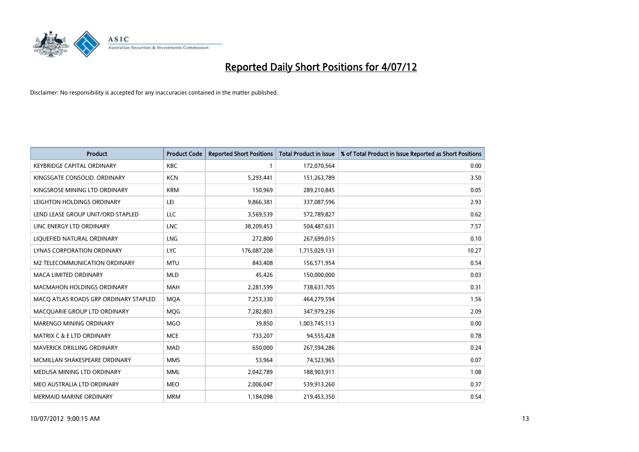

| <b>Product</b>                        | <b>Product Code</b> | <b>Reported Short Positions</b> | <b>Total Product in Issue</b> | % of Total Product in Issue Reported as Short Positions |
|---------------------------------------|---------------------|---------------------------------|-------------------------------|---------------------------------------------------------|
| <b>KEYBRIDGE CAPITAL ORDINARY</b>     | <b>KBC</b>          |                                 | 172,070,564                   | 0.00                                                    |
| KINGSGATE CONSOLID. ORDINARY          | <b>KCN</b>          | 5,293,441                       | 151,263,789                   | 3.50                                                    |
| KINGSROSE MINING LTD ORDINARY         | <b>KRM</b>          | 150,969                         | 289,210,845                   | 0.05                                                    |
| LEIGHTON HOLDINGS ORDINARY            | LEI                 | 9,866,381                       | 337,087,596                   | 2.93                                                    |
| LEND LEASE GROUP UNIT/ORD STAPLED     | <b>LLC</b>          | 3,569,539                       | 572,789,827                   | 0.62                                                    |
| LINC ENERGY LTD ORDINARY              | <b>LNC</b>          | 38,209,453                      | 504,487,631                   | 7.57                                                    |
| LIQUEFIED NATURAL ORDINARY            | <b>LNG</b>          | 272,800                         | 267,699,015                   | 0.10                                                    |
| LYNAS CORPORATION ORDINARY            | <b>LYC</b>          | 176,087,208                     | 1,715,029,131                 | 10.27                                                   |
| M2 TELECOMMUNICATION ORDINARY         | <b>MTU</b>          | 843,408                         | 156,571,954                   | 0.54                                                    |
| <b>MACA LIMITED ORDINARY</b>          | <b>MLD</b>          | 45,426                          | 150,000,000                   | 0.03                                                    |
| <b>MACMAHON HOLDINGS ORDINARY</b>     | <b>MAH</b>          | 2,281,599                       | 738,631,705                   | 0.31                                                    |
| MACQ ATLAS ROADS GRP ORDINARY STAPLED | <b>MQA</b>          | 7,253,330                       | 464,279,594                   | 1.56                                                    |
| MACQUARIE GROUP LTD ORDINARY          | <b>MOG</b>          | 7,282,803                       | 347,979,236                   | 2.09                                                    |
| <b>MARENGO MINING ORDINARY</b>        | <b>MGO</b>          | 39,850                          | 1,003,745,113                 | 0.00                                                    |
| <b>MATRIX C &amp; E LTD ORDINARY</b>  | <b>MCE</b>          | 733,207                         | 94,555,428                    | 0.78                                                    |
| <b>MAVERICK DRILLING ORDINARY</b>     | <b>MAD</b>          | 650,000                         | 267,594,286                   | 0.24                                                    |
| MCMILLAN SHAKESPEARE ORDINARY         | <b>MMS</b>          | 53,964                          | 74,523,965                    | 0.07                                                    |
| MEDUSA MINING LTD ORDINARY            | <b>MML</b>          | 2,042,789                       | 188,903,911                   | 1.08                                                    |
| MEO AUSTRALIA LTD ORDINARY            | <b>MEO</b>          | 2,006,047                       | 539,913,260                   | 0.37                                                    |
| <b>MERMAID MARINE ORDINARY</b>        | <b>MRM</b>          | 1,184,098                       | 219,453,350                   | 0.54                                                    |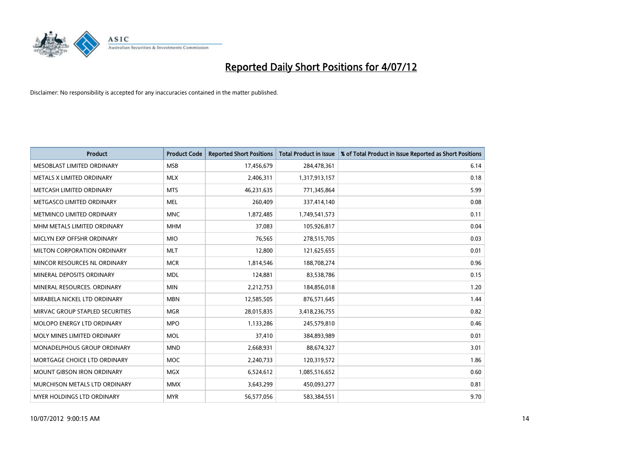

| <b>Product</b>                       | <b>Product Code</b> | <b>Reported Short Positions</b> | <b>Total Product in Issue</b> | % of Total Product in Issue Reported as Short Positions |
|--------------------------------------|---------------------|---------------------------------|-------------------------------|---------------------------------------------------------|
| MESOBLAST LIMITED ORDINARY           | <b>MSB</b>          | 17,456,679                      | 284,478,361                   | 6.14                                                    |
| METALS X LIMITED ORDINARY            | <b>MLX</b>          | 2,406,311                       | 1,317,913,157                 | 0.18                                                    |
| METCASH LIMITED ORDINARY             | <b>MTS</b>          | 46,231,635                      | 771,345,864                   | 5.99                                                    |
| METGASCO LIMITED ORDINARY            | <b>MEL</b>          | 260,409                         | 337,414,140                   | 0.08                                                    |
| METMINCO LIMITED ORDINARY            | <b>MNC</b>          | 1,872,485                       | 1,749,541,573                 | 0.11                                                    |
| MHM METALS LIMITED ORDINARY          | <b>MHM</b>          | 37,083                          | 105,926,817                   | 0.04                                                    |
| MICLYN EXP OFFSHR ORDINARY           | <b>MIO</b>          | 76,565                          | 278,515,705                   | 0.03                                                    |
| MILTON CORPORATION ORDINARY          | <b>MLT</b>          | 12,800                          | 121,625,655                   | 0.01                                                    |
| MINCOR RESOURCES NL ORDINARY         | <b>MCR</b>          | 1,814,546                       | 188,708,274                   | 0.96                                                    |
| MINERAL DEPOSITS ORDINARY            | <b>MDL</b>          | 124,881                         | 83,538,786                    | 0.15                                                    |
| MINERAL RESOURCES. ORDINARY          | <b>MIN</b>          | 2,212,753                       | 184,856,018                   | 1.20                                                    |
| MIRABELA NICKEL LTD ORDINARY         | <b>MBN</b>          | 12,585,505                      | 876,571,645                   | 1.44                                                    |
| MIRVAC GROUP STAPLED SECURITIES      | <b>MGR</b>          | 28,015,835                      | 3,418,236,755                 | 0.82                                                    |
| MOLOPO ENERGY LTD ORDINARY           | <b>MPO</b>          | 1,133,286                       | 245,579,810                   | 0.46                                                    |
| MOLY MINES LIMITED ORDINARY          | <b>MOL</b>          | 37,410                          | 384,893,989                   | 0.01                                                    |
| MONADELPHOUS GROUP ORDINARY          | <b>MND</b>          | 2,668,931                       | 88,674,327                    | 3.01                                                    |
| MORTGAGE CHOICE LTD ORDINARY         | <b>MOC</b>          | 2,240,733                       | 120,319,572                   | 1.86                                                    |
| <b>MOUNT GIBSON IRON ORDINARY</b>    | <b>MGX</b>          | 6,524,612                       | 1,085,516,652                 | 0.60                                                    |
| <b>MURCHISON METALS LTD ORDINARY</b> | <b>MMX</b>          | 3,643,299                       | 450,093,277                   | 0.81                                                    |
| <b>MYER HOLDINGS LTD ORDINARY</b>    | <b>MYR</b>          | 56,577,056                      | 583,384,551                   | 9.70                                                    |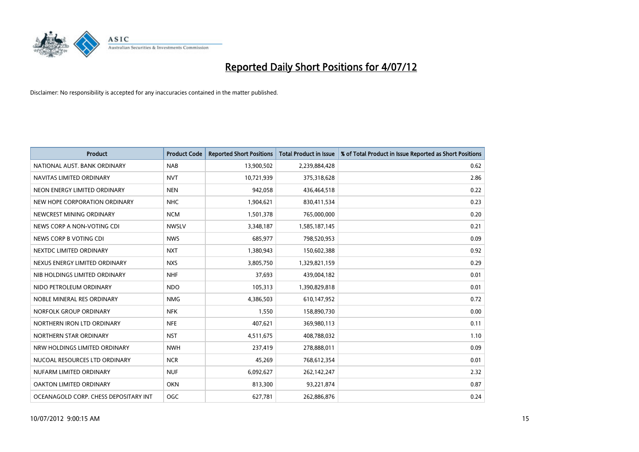

| <b>Product</b>                        | <b>Product Code</b> | <b>Reported Short Positions</b> | <b>Total Product in Issue</b> | % of Total Product in Issue Reported as Short Positions |
|---------------------------------------|---------------------|---------------------------------|-------------------------------|---------------------------------------------------------|
| NATIONAL AUST. BANK ORDINARY          | <b>NAB</b>          | 13,900,502                      | 2,239,884,428                 | 0.62                                                    |
| NAVITAS LIMITED ORDINARY              | <b>NVT</b>          | 10,721,939                      | 375,318,628                   | 2.86                                                    |
| NEON ENERGY LIMITED ORDINARY          | <b>NEN</b>          | 942,058                         | 436,464,518                   | 0.22                                                    |
| NEW HOPE CORPORATION ORDINARY         | <b>NHC</b>          | 1,904,621                       | 830,411,534                   | 0.23                                                    |
| NEWCREST MINING ORDINARY              | <b>NCM</b>          | 1,501,378                       | 765,000,000                   | 0.20                                                    |
| NEWS CORP A NON-VOTING CDI            | <b>NWSLV</b>        | 3,348,187                       | 1,585,187,145                 | 0.21                                                    |
| NEWS CORP B VOTING CDI                | <b>NWS</b>          | 685,977                         | 798,520,953                   | 0.09                                                    |
| NEXTDC LIMITED ORDINARY               | <b>NXT</b>          | 1,380,943                       | 150,602,388                   | 0.92                                                    |
| NEXUS ENERGY LIMITED ORDINARY         | <b>NXS</b>          | 3,805,750                       | 1,329,821,159                 | 0.29                                                    |
| NIB HOLDINGS LIMITED ORDINARY         | <b>NHF</b>          | 37,693                          | 439,004,182                   | 0.01                                                    |
| NIDO PETROLEUM ORDINARY               | <b>NDO</b>          | 105,313                         | 1,390,829,818                 | 0.01                                                    |
| NOBLE MINERAL RES ORDINARY            | <b>NMG</b>          | 4,386,503                       | 610,147,952                   | 0.72                                                    |
| NORFOLK GROUP ORDINARY                | <b>NFK</b>          | 1,550                           | 158,890,730                   | 0.00                                                    |
| NORTHERN IRON LTD ORDINARY            | <b>NFE</b>          | 407,621                         | 369,980,113                   | 0.11                                                    |
| NORTHERN STAR ORDINARY                | <b>NST</b>          | 4,511,675                       | 408,788,032                   | 1.10                                                    |
| NRW HOLDINGS LIMITED ORDINARY         | <b>NWH</b>          | 237,419                         | 278,888,011                   | 0.09                                                    |
| NUCOAL RESOURCES LTD ORDINARY         | <b>NCR</b>          | 45,269                          | 768,612,354                   | 0.01                                                    |
| NUFARM LIMITED ORDINARY               | <b>NUF</b>          | 6,092,627                       | 262,142,247                   | 2.32                                                    |
| OAKTON LIMITED ORDINARY               | <b>OKN</b>          | 813,300                         | 93,221,874                    | 0.87                                                    |
| OCEANAGOLD CORP. CHESS DEPOSITARY INT | <b>OGC</b>          | 627,781                         | 262,886,876                   | 0.24                                                    |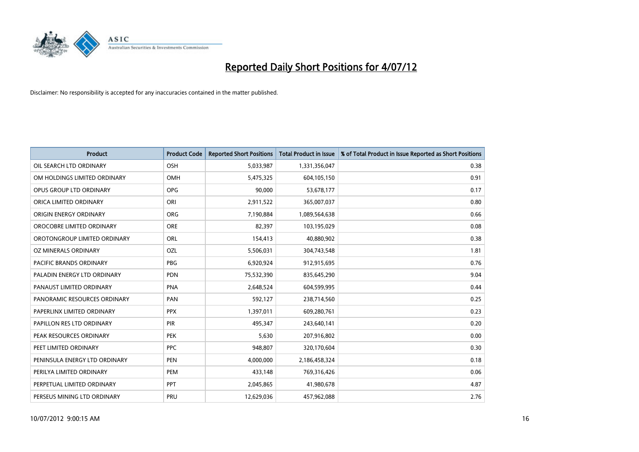

| <b>Product</b>                 | <b>Product Code</b> | <b>Reported Short Positions</b> | <b>Total Product in Issue</b> | % of Total Product in Issue Reported as Short Positions |
|--------------------------------|---------------------|---------------------------------|-------------------------------|---------------------------------------------------------|
| OIL SEARCH LTD ORDINARY        | <b>OSH</b>          | 5,033,987                       | 1,331,356,047                 | 0.38                                                    |
| OM HOLDINGS LIMITED ORDINARY   | OMH                 | 5,475,325                       | 604,105,150                   | 0.91                                                    |
| OPUS GROUP LTD ORDINARY        | <b>OPG</b>          | 90,000                          | 53,678,177                    | 0.17                                                    |
| ORICA LIMITED ORDINARY         | ORI                 | 2,911,522                       | 365,007,037                   | 0.80                                                    |
| ORIGIN ENERGY ORDINARY         | <b>ORG</b>          | 7,190,884                       | 1,089,564,638                 | 0.66                                                    |
| OROCOBRE LIMITED ORDINARY      | <b>ORE</b>          | 82,397                          | 103,195,029                   | 0.08                                                    |
| OROTONGROUP LIMITED ORDINARY   | <b>ORL</b>          | 154,413                         | 40,880,902                    | 0.38                                                    |
| OZ MINERALS ORDINARY           | OZL                 | 5,506,031                       | 304,743,548                   | 1.81                                                    |
| <b>PACIFIC BRANDS ORDINARY</b> | <b>PBG</b>          | 6,920,924                       | 912,915,695                   | 0.76                                                    |
| PALADIN ENERGY LTD ORDINARY    | <b>PDN</b>          | 75,532,390                      | 835,645,290                   | 9.04                                                    |
| PANAUST LIMITED ORDINARY       | <b>PNA</b>          | 2,648,524                       | 604,599,995                   | 0.44                                                    |
| PANORAMIC RESOURCES ORDINARY   | PAN                 | 592,127                         | 238,714,560                   | 0.25                                                    |
| PAPERLINX LIMITED ORDINARY     | <b>PPX</b>          | 1,397,011                       | 609,280,761                   | 0.23                                                    |
| PAPILLON RES LTD ORDINARY      | PIR                 | 495,347                         | 243,640,141                   | 0.20                                                    |
| PEAK RESOURCES ORDINARY        | <b>PEK</b>          | 5,630                           | 207,916,802                   | 0.00                                                    |
| PEET LIMITED ORDINARY          | <b>PPC</b>          | 948,807                         | 320,170,604                   | 0.30                                                    |
| PENINSULA ENERGY LTD ORDINARY  | <b>PEN</b>          | 4,000,000                       | 2,186,458,324                 | 0.18                                                    |
| PERILYA LIMITED ORDINARY       | PEM                 | 433,148                         | 769,316,426                   | 0.06                                                    |
| PERPETUAL LIMITED ORDINARY     | <b>PPT</b>          | 2,045,865                       | 41,980,678                    | 4.87                                                    |
| PERSEUS MINING LTD ORDINARY    | PRU                 | 12,629,036                      | 457,962,088                   | 2.76                                                    |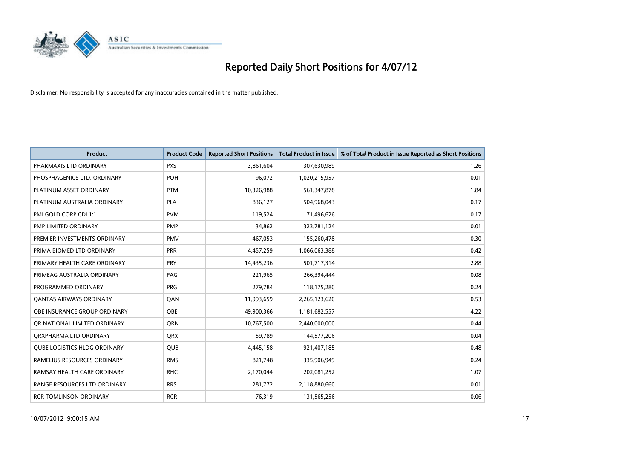

| <b>Product</b>                      | <b>Product Code</b> | <b>Reported Short Positions</b> | <b>Total Product in Issue</b> | % of Total Product in Issue Reported as Short Positions |
|-------------------------------------|---------------------|---------------------------------|-------------------------------|---------------------------------------------------------|
| PHARMAXIS LTD ORDINARY              | <b>PXS</b>          | 3,861,604                       | 307,630,989                   | 1.26                                                    |
| PHOSPHAGENICS LTD. ORDINARY         | POH                 | 96,072                          | 1,020,215,957                 | 0.01                                                    |
| PLATINUM ASSET ORDINARY             | <b>PTM</b>          | 10,326,988                      | 561,347,878                   | 1.84                                                    |
| PLATINUM AUSTRALIA ORDINARY         | <b>PLA</b>          | 836,127                         | 504,968,043                   | 0.17                                                    |
| PMI GOLD CORP CDI 1:1               | <b>PVM</b>          | 119,524                         | 71,496,626                    | 0.17                                                    |
| PMP LIMITED ORDINARY                | <b>PMP</b>          | 34,862                          | 323,781,124                   | 0.01                                                    |
| PREMIER INVESTMENTS ORDINARY        | <b>PMV</b>          | 467,053                         | 155,260,478                   | 0.30                                                    |
| PRIMA BIOMED LTD ORDINARY           | <b>PRR</b>          | 4,457,259                       | 1,066,063,388                 | 0.42                                                    |
| PRIMARY HEALTH CARE ORDINARY        | <b>PRY</b>          | 14,435,236                      | 501,717,314                   | 2.88                                                    |
| PRIMEAG AUSTRALIA ORDINARY          | PAG                 | 221,965                         | 266,394,444                   | 0.08                                                    |
| PROGRAMMED ORDINARY                 | <b>PRG</b>          | 279,784                         | 118,175,280                   | 0.24                                                    |
| <b>QANTAS AIRWAYS ORDINARY</b>      | QAN                 | 11,993,659                      | 2,265,123,620                 | 0.53                                                    |
| <b>OBE INSURANCE GROUP ORDINARY</b> | <b>OBE</b>          | 49,900,366                      | 1,181,682,557                 | 4.22                                                    |
| OR NATIONAL LIMITED ORDINARY        | <b>ORN</b>          | 10,767,500                      | 2,440,000,000                 | 0.44                                                    |
| ORXPHARMA LTD ORDINARY              | <b>ORX</b>          | 59,789                          | 144,577,206                   | 0.04                                                    |
| <b>QUBE LOGISTICS HLDG ORDINARY</b> | QUB                 | 4,445,158                       | 921,407,185                   | 0.48                                                    |
| RAMELIUS RESOURCES ORDINARY         | <b>RMS</b>          | 821,748                         | 335,906,949                   | 0.24                                                    |
| RAMSAY HEALTH CARE ORDINARY         | <b>RHC</b>          | 2,170,044                       | 202,081,252                   | 1.07                                                    |
| RANGE RESOURCES LTD ORDINARY        | <b>RRS</b>          | 281,772                         | 2,118,880,660                 | 0.01                                                    |
| <b>RCR TOMLINSON ORDINARY</b>       | <b>RCR</b>          | 76,319                          | 131,565,256                   | 0.06                                                    |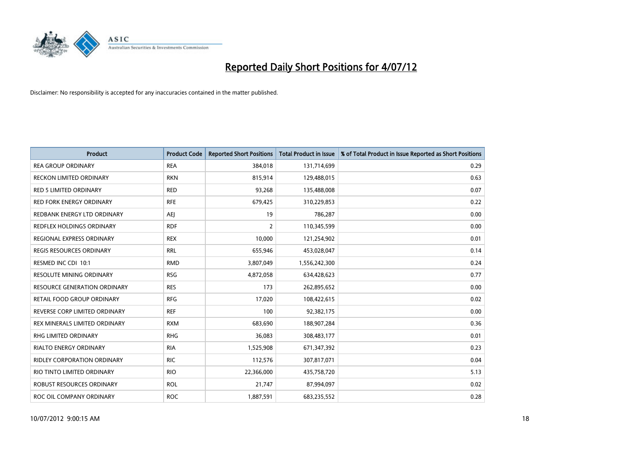

| <b>Product</b>                      | <b>Product Code</b> | <b>Reported Short Positions</b> | <b>Total Product in Issue</b> | % of Total Product in Issue Reported as Short Positions |
|-------------------------------------|---------------------|---------------------------------|-------------------------------|---------------------------------------------------------|
| <b>REA GROUP ORDINARY</b>           | <b>REA</b>          | 384,018                         | 131,714,699                   | 0.29                                                    |
| <b>RECKON LIMITED ORDINARY</b>      | <b>RKN</b>          | 815,914                         | 129,488,015                   | 0.63                                                    |
| <b>RED 5 LIMITED ORDINARY</b>       | <b>RED</b>          | 93,268                          | 135,488,008                   | 0.07                                                    |
| RED FORK ENERGY ORDINARY            | <b>RFE</b>          | 679,425                         | 310,229,853                   | 0.22                                                    |
| REDBANK ENERGY LTD ORDINARY         | AEJ                 | 19                              | 786.287                       | 0.00                                                    |
| REDFLEX HOLDINGS ORDINARY           | <b>RDF</b>          | 2                               | 110,345,599                   | 0.00                                                    |
| REGIONAL EXPRESS ORDINARY           | <b>REX</b>          | 10.000                          | 121,254,902                   | 0.01                                                    |
| <b>REGIS RESOURCES ORDINARY</b>     | <b>RRL</b>          | 655,946                         | 453,028,047                   | 0.14                                                    |
| RESMED INC CDI 10:1                 | <b>RMD</b>          | 3,807,049                       | 1,556,242,300                 | 0.24                                                    |
| <b>RESOLUTE MINING ORDINARY</b>     | <b>RSG</b>          | 4,872,058                       | 634,428,623                   | 0.77                                                    |
| <b>RESOURCE GENERATION ORDINARY</b> | <b>RES</b>          | 173                             | 262,895,652                   | 0.00                                                    |
| RETAIL FOOD GROUP ORDINARY          | <b>RFG</b>          | 17,020                          | 108,422,615                   | 0.02                                                    |
| REVERSE CORP LIMITED ORDINARY       | <b>REF</b>          | 100                             | 92,382,175                    | 0.00                                                    |
| REX MINERALS LIMITED ORDINARY       | <b>RXM</b>          | 683.690                         | 188,907,284                   | 0.36                                                    |
| RHG LIMITED ORDINARY                | <b>RHG</b>          | 36,083                          | 308,483,177                   | 0.01                                                    |
| <b>RIALTO ENERGY ORDINARY</b>       | <b>RIA</b>          | 1,525,908                       | 671,347,392                   | 0.23                                                    |
| <b>RIDLEY CORPORATION ORDINARY</b>  | <b>RIC</b>          | 112,576                         | 307,817,071                   | 0.04                                                    |
| RIO TINTO LIMITED ORDINARY          | <b>RIO</b>          | 22,366,000                      | 435,758,720                   | 5.13                                                    |
| ROBUST RESOURCES ORDINARY           | <b>ROL</b>          | 21,747                          | 87,994,097                    | 0.02                                                    |
| ROC OIL COMPANY ORDINARY            | <b>ROC</b>          | 1,887,591                       | 683,235,552                   | 0.28                                                    |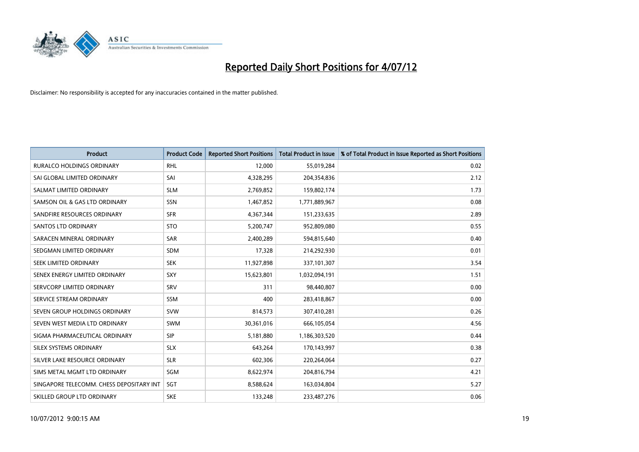

| <b>Product</b>                           | <b>Product Code</b> | <b>Reported Short Positions</b> | <b>Total Product in Issue</b> | % of Total Product in Issue Reported as Short Positions |
|------------------------------------------|---------------------|---------------------------------|-------------------------------|---------------------------------------------------------|
| <b>RURALCO HOLDINGS ORDINARY</b>         | <b>RHL</b>          | 12,000                          | 55,019,284                    | 0.02                                                    |
| SAI GLOBAL LIMITED ORDINARY              | SAI                 | 4,328,295                       | 204,354,836                   | 2.12                                                    |
| SALMAT LIMITED ORDINARY                  | <b>SLM</b>          | 2,769,852                       | 159,802,174                   | 1.73                                                    |
| SAMSON OIL & GAS LTD ORDINARY            | SSN                 | 1,467,852                       | 1,771,889,967                 | 0.08                                                    |
| SANDFIRE RESOURCES ORDINARY              | <b>SFR</b>          | 4,367,344                       | 151,233,635                   | 2.89                                                    |
| <b>SANTOS LTD ORDINARY</b>               | <b>STO</b>          | 5,200,747                       | 952,809,080                   | 0.55                                                    |
| SARACEN MINERAL ORDINARY                 | <b>SAR</b>          | 2,400,289                       | 594,815,640                   | 0.40                                                    |
| SEDGMAN LIMITED ORDINARY                 | <b>SDM</b>          | 17,328                          | 214,292,930                   | 0.01                                                    |
| SEEK LIMITED ORDINARY                    | <b>SEK</b>          | 11,927,898                      | 337,101,307                   | 3.54                                                    |
| SENEX ENERGY LIMITED ORDINARY            | <b>SXY</b>          | 15,623,801                      | 1,032,094,191                 | 1.51                                                    |
| SERVCORP LIMITED ORDINARY                | SRV                 | 311                             | 98,440,807                    | 0.00                                                    |
| SERVICE STREAM ORDINARY                  | <b>SSM</b>          | 400                             | 283,418,867                   | 0.00                                                    |
| SEVEN GROUP HOLDINGS ORDINARY            | <b>SVW</b>          | 814,573                         | 307,410,281                   | 0.26                                                    |
| SEVEN WEST MEDIA LTD ORDINARY            | <b>SWM</b>          | 30,361,016                      | 666,105,054                   | 4.56                                                    |
| SIGMA PHARMACEUTICAL ORDINARY            | <b>SIP</b>          | 5,181,880                       | 1,186,303,520                 | 0.44                                                    |
| SILEX SYSTEMS ORDINARY                   | <b>SLX</b>          | 643,264                         | 170,143,997                   | 0.38                                                    |
| SILVER LAKE RESOURCE ORDINARY            | <b>SLR</b>          | 602,306                         | 220,264,064                   | 0.27                                                    |
| SIMS METAL MGMT LTD ORDINARY             | SGM                 | 8,622,974                       | 204,816,794                   | 4.21                                                    |
| SINGAPORE TELECOMM. CHESS DEPOSITARY INT | <b>SGT</b>          | 8,588,624                       | 163,034,804                   | 5.27                                                    |
| SKILLED GROUP LTD ORDINARY               | <b>SKE</b>          | 133,248                         | 233,487,276                   | 0.06                                                    |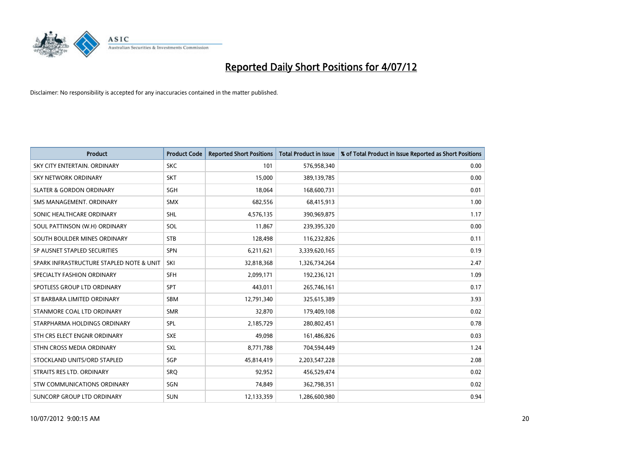

| <b>Product</b>                           | <b>Product Code</b> | <b>Reported Short Positions</b> | <b>Total Product in Issue</b> | % of Total Product in Issue Reported as Short Positions |
|------------------------------------------|---------------------|---------------------------------|-------------------------------|---------------------------------------------------------|
| SKY CITY ENTERTAIN, ORDINARY             | <b>SKC</b>          | 101                             | 576,958,340                   | 0.00                                                    |
| SKY NETWORK ORDINARY                     | <b>SKT</b>          | 15,000                          | 389,139,785                   | 0.00                                                    |
| <b>SLATER &amp; GORDON ORDINARY</b>      | <b>SGH</b>          | 18,064                          | 168,600,731                   | 0.01                                                    |
| SMS MANAGEMENT, ORDINARY                 | <b>SMX</b>          | 682,556                         | 68,415,913                    | 1.00                                                    |
| SONIC HEALTHCARE ORDINARY                | <b>SHL</b>          | 4,576,135                       | 390,969,875                   | 1.17                                                    |
| SOUL PATTINSON (W.H) ORDINARY            | SOL                 | 11,867                          | 239,395,320                   | 0.00                                                    |
| SOUTH BOULDER MINES ORDINARY             | <b>STB</b>          | 128,498                         | 116,232,826                   | 0.11                                                    |
| SP AUSNET STAPLED SECURITIES             | <b>SPN</b>          | 6,211,621                       | 3,339,620,165                 | 0.19                                                    |
| SPARK INFRASTRUCTURE STAPLED NOTE & UNIT | SKI                 | 32,818,368                      | 1,326,734,264                 | 2.47                                                    |
| SPECIALTY FASHION ORDINARY               | <b>SFH</b>          | 2,099,171                       | 192,236,121                   | 1.09                                                    |
| SPOTLESS GROUP LTD ORDINARY              | <b>SPT</b>          | 443,011                         | 265,746,161                   | 0.17                                                    |
| ST BARBARA LIMITED ORDINARY              | <b>SBM</b>          | 12,791,340                      | 325,615,389                   | 3.93                                                    |
| STANMORE COAL LTD ORDINARY               | <b>SMR</b>          | 32,870                          | 179,409,108                   | 0.02                                                    |
| STARPHARMA HOLDINGS ORDINARY             | <b>SPL</b>          | 2,185,729                       | 280,802,451                   | 0.78                                                    |
| STH CRS ELECT ENGNR ORDINARY             | <b>SXE</b>          | 49.098                          | 161,486,826                   | 0.03                                                    |
| STHN CROSS MEDIA ORDINARY                | <b>SXL</b>          | 8,771,788                       | 704,594,449                   | 1.24                                                    |
| STOCKLAND UNITS/ORD STAPLED              | SGP                 | 45,814,419                      | 2,203,547,228                 | 2.08                                                    |
| STRAITS RES LTD. ORDINARY                | SRQ                 | 92,952                          | 456,529,474                   | 0.02                                                    |
| STW COMMUNICATIONS ORDINARY              | SGN                 | 74,849                          | 362,798,351                   | 0.02                                                    |
| SUNCORP GROUP LTD ORDINARY               | <b>SUN</b>          | 12,133,359                      | 1,286,600,980                 | 0.94                                                    |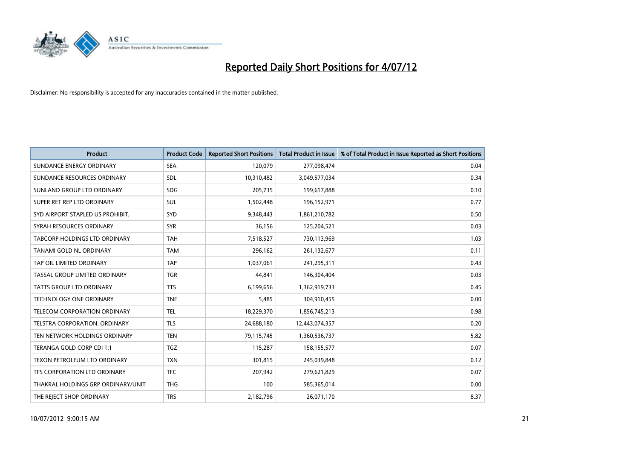

| <b>Product</b>                     | <b>Product Code</b> | <b>Reported Short Positions</b> | <b>Total Product in Issue</b> | % of Total Product in Issue Reported as Short Positions |
|------------------------------------|---------------------|---------------------------------|-------------------------------|---------------------------------------------------------|
| SUNDANCE ENERGY ORDINARY           | <b>SEA</b>          | 120,079                         | 277,098,474                   | 0.04                                                    |
| SUNDANCE RESOURCES ORDINARY        | <b>SDL</b>          | 10,310,482                      | 3,049,577,034                 | 0.34                                                    |
| SUNLAND GROUP LTD ORDINARY         | <b>SDG</b>          | 205,735                         | 199,617,888                   | 0.10                                                    |
| SUPER RET REP LTD ORDINARY         | SUL                 | 1,502,448                       | 196,152,971                   | 0.77                                                    |
| SYD AIRPORT STAPLED US PROHIBIT.   | <b>SYD</b>          | 9,348,443                       | 1,861,210,782                 | 0.50                                                    |
| SYRAH RESOURCES ORDINARY           | <b>SYR</b>          | 36,156                          | 125,204,521                   | 0.03                                                    |
| TABCORP HOLDINGS LTD ORDINARY      | <b>TAH</b>          | 7,518,527                       | 730,113,969                   | 1.03                                                    |
| TANAMI GOLD NL ORDINARY            | <b>TAM</b>          | 296,162                         | 261,132,677                   | 0.11                                                    |
| TAP OIL LIMITED ORDINARY           | <b>TAP</b>          | 1,037,061                       | 241,295,311                   | 0.43                                                    |
| TASSAL GROUP LIMITED ORDINARY      | <b>TGR</b>          | 44,841                          | 146,304,404                   | 0.03                                                    |
| TATTS GROUP LTD ORDINARY           | <b>TTS</b>          | 6,199,656                       | 1,362,919,733                 | 0.45                                                    |
| <b>TECHNOLOGY ONE ORDINARY</b>     | <b>TNE</b>          | 5,485                           | 304,910,455                   | 0.00                                                    |
| TELECOM CORPORATION ORDINARY       | <b>TEL</b>          | 18,229,370                      | 1,856,745,213                 | 0.98                                                    |
| TELSTRA CORPORATION. ORDINARY      | <b>TLS</b>          | 24,688,180                      | 12,443,074,357                | 0.20                                                    |
| TEN NETWORK HOLDINGS ORDINARY      | <b>TEN</b>          | 79,115,745                      | 1,360,536,737                 | 5.82                                                    |
| TERANGA GOLD CORP CDI 1:1          | <b>TGZ</b>          | 115,287                         | 158,155,577                   | 0.07                                                    |
| TEXON PETROLEUM LTD ORDINARY       | <b>TXN</b>          | 301,815                         | 245,039,848                   | 0.12                                                    |
| TFS CORPORATION LTD ORDINARY       | <b>TFC</b>          | 207,942                         | 279,621,829                   | 0.07                                                    |
| THAKRAL HOLDINGS GRP ORDINARY/UNIT | <b>THG</b>          | 100                             | 585,365,014                   | 0.00                                                    |
| THE REJECT SHOP ORDINARY           | <b>TRS</b>          | 2,182,796                       | 26,071,170                    | 8.37                                                    |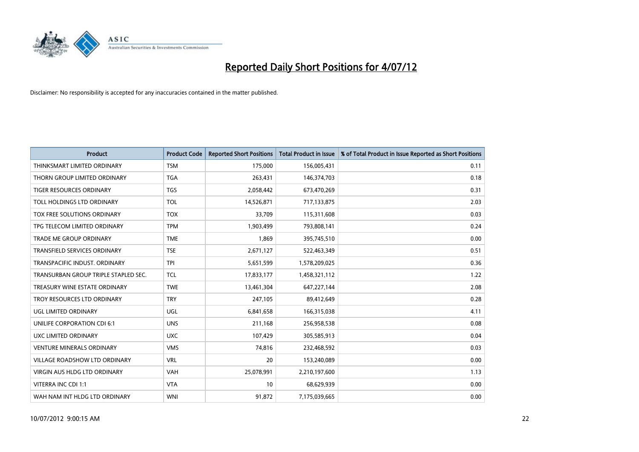

| <b>Product</b>                       | <b>Product Code</b> | <b>Reported Short Positions</b> | <b>Total Product in Issue</b> | % of Total Product in Issue Reported as Short Positions |
|--------------------------------------|---------------------|---------------------------------|-------------------------------|---------------------------------------------------------|
| THINKSMART LIMITED ORDINARY          | <b>TSM</b>          | 175,000                         | 156,005,431                   | 0.11                                                    |
| THORN GROUP LIMITED ORDINARY         | <b>TGA</b>          | 263,431                         | 146,374,703                   | 0.18                                                    |
| <b>TIGER RESOURCES ORDINARY</b>      | <b>TGS</b>          | 2,058,442                       | 673,470,269                   | 0.31                                                    |
| TOLL HOLDINGS LTD ORDINARY           | <b>TOL</b>          | 14,526,871                      | 717,133,875                   | 2.03                                                    |
| <b>TOX FREE SOLUTIONS ORDINARY</b>   | <b>TOX</b>          | 33,709                          | 115,311,608                   | 0.03                                                    |
| TPG TELECOM LIMITED ORDINARY         | <b>TPM</b>          | 1,903,499                       | 793,808,141                   | 0.24                                                    |
| TRADE ME GROUP ORDINARY              | <b>TME</b>          | 1,869                           | 395,745,510                   | 0.00                                                    |
| TRANSFIELD SERVICES ORDINARY         | <b>TSE</b>          | 2,671,127                       | 522,463,349                   | 0.51                                                    |
| TRANSPACIFIC INDUST, ORDINARY        | <b>TPI</b>          | 5,651,599                       | 1,578,209,025                 | 0.36                                                    |
| TRANSURBAN GROUP TRIPLE STAPLED SEC. | <b>TCL</b>          | 17,833,177                      | 1,458,321,112                 | 1.22                                                    |
| TREASURY WINE ESTATE ORDINARY        | <b>TWE</b>          | 13,461,304                      | 647,227,144                   | 2.08                                                    |
| TROY RESOURCES LTD ORDINARY          | <b>TRY</b>          | 247,105                         | 89,412,649                    | 0.28                                                    |
| UGL LIMITED ORDINARY                 | UGL                 | 6,841,658                       | 166,315,038                   | 4.11                                                    |
| UNILIFE CORPORATION CDI 6:1          | <b>UNS</b>          | 211,168                         | 256,958,538                   | 0.08                                                    |
| UXC LIMITED ORDINARY                 | <b>UXC</b>          | 107,429                         | 305,585,913                   | 0.04                                                    |
| <b>VENTURE MINERALS ORDINARY</b>     | <b>VMS</b>          | 74,816                          | 232,468,592                   | 0.03                                                    |
| VILLAGE ROADSHOW LTD ORDINARY        | <b>VRL</b>          | 20                              | 153,240,089                   | 0.00                                                    |
| VIRGIN AUS HLDG LTD ORDINARY         | <b>VAH</b>          | 25,078,991                      | 2,210,197,600                 | 1.13                                                    |
| VITERRA INC CDI 1:1                  | <b>VTA</b>          | 10                              | 68,629,939                    | 0.00                                                    |
| WAH NAM INT HLDG LTD ORDINARY        | <b>WNI</b>          | 91,872                          | 7,175,039,665                 | 0.00                                                    |